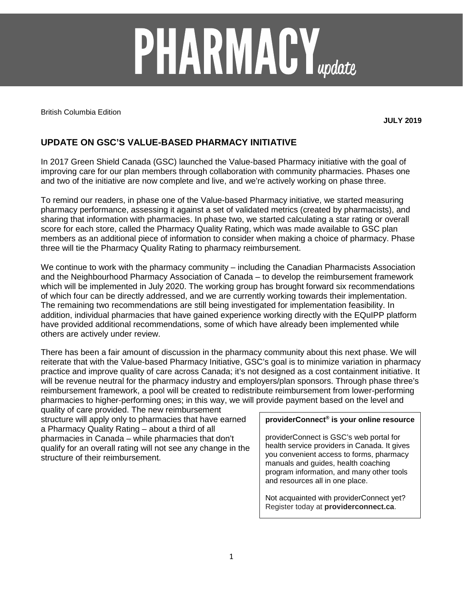# **PHARMACY**<sub>update</sub>

British Columbia Edition

**JULY 2019**

# **UPDATE ON GSC'S VALUE-BASED PHARMACY INITIATIVE**

In 2017 Green Shield Canada (GSC) launched the Value-based Pharmacy initiative with the goal of improving care for our plan members through collaboration with community pharmacies. Phases one and two of the initiative are now complete and live, and we're actively working on phase three.

To remind our readers, in phase one of the Value-based Pharmacy initiative, we started measuring pharmacy performance, assessing it against a set of validated metrics (created by pharmacists), and sharing that information with pharmacies. In phase two, we started calculating a star rating or overall score for each store, called the Pharmacy Quality Rating, which was made available to GSC plan members as an additional piece of information to consider when making a choice of pharmacy. Phase three will tie the Pharmacy Quality Rating to pharmacy reimbursement.

We continue to work with the pharmacy community – including the Canadian Pharmacists Association and the Neighbourhood Pharmacy Association of Canada – to develop the reimbursement framework which will be implemented in July 2020. The working group has brought forward six recommendations of which four can be directly addressed, and we are currently working towards their implementation. The remaining two recommendations are still being investigated for implementation feasibility. In addition, individual pharmacies that have gained experience working directly with the EQuIPP platform have provided additional recommendations, some of which have already been implemented while others are actively under review.

There has been a fair amount of discussion in the pharmacy community about this next phase. We will reiterate that with the Value-based Pharmacy Initiative, GSC's goal is to minimize variation in pharmacy practice and improve quality of care across Canada; it's not designed as a cost containment initiative. It will be revenue neutral for the pharmacy industry and employers/plan sponsors. Through phase three's reimbursement framework, a pool will be created to redistribute reimbursement from lower-performing pharmacies to higher-performing ones; in this way, we will provide payment based on the level and

quality of care provided. The new reimbursement structure will apply only to pharmacies that have earned a Pharmacy Quality Rating – about a third of all pharmacies in Canada – while pharmacies that don't qualify for an overall rating will not see any change in the structure of their reimbursement.

### **providerConnect® is your online resource**

providerConnect is GSC's web portal for health service providers in Canada. It gives you convenient access to forms, pharmacy manuals and guides, health coaching program information, and many other tools and resources all in one place.

Not acquainted with providerConnect yet? Register today at **providerconnect.ca**.